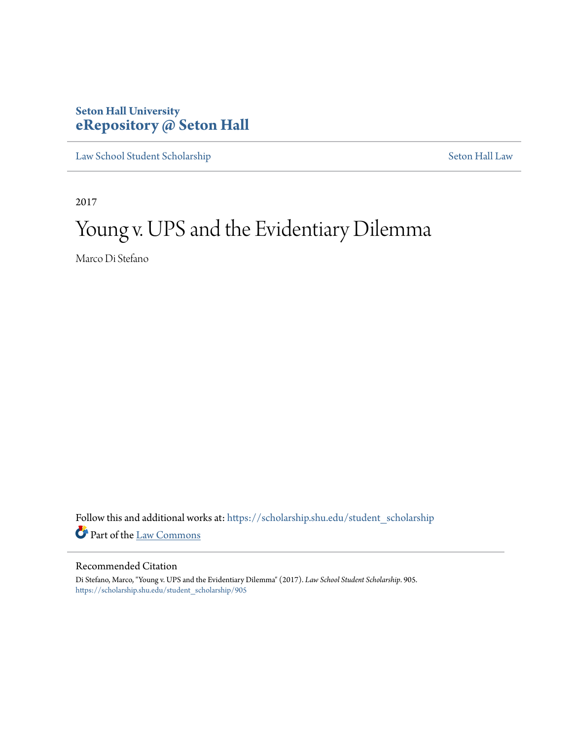### **Seton Hall University [eRepository @ Seton Hall](https://scholarship.shu.edu?utm_source=scholarship.shu.edu%2Fstudent_scholarship%2F905&utm_medium=PDF&utm_campaign=PDFCoverPages)**

[Law School Student Scholarship](https://scholarship.shu.edu/student_scholarship?utm_source=scholarship.shu.edu%2Fstudent_scholarship%2F905&utm_medium=PDF&utm_campaign=PDFCoverPages) [Seton Hall Law](https://scholarship.shu.edu/law?utm_source=scholarship.shu.edu%2Fstudent_scholarship%2F905&utm_medium=PDF&utm_campaign=PDFCoverPages)

2017

# Young v. UPS and the Evidentiary Dilemma

Marco Di Stefano

Follow this and additional works at: [https://scholarship.shu.edu/student\\_scholarship](https://scholarship.shu.edu/student_scholarship?utm_source=scholarship.shu.edu%2Fstudent_scholarship%2F905&utm_medium=PDF&utm_campaign=PDFCoverPages) Part of the [Law Commons](http://network.bepress.com/hgg/discipline/578?utm_source=scholarship.shu.edu%2Fstudent_scholarship%2F905&utm_medium=PDF&utm_campaign=PDFCoverPages)

#### Recommended Citation

Di Stefano, Marco, "Young v. UPS and the Evidentiary Dilemma" (2017). *Law School Student Scholarship*. 905. [https://scholarship.shu.edu/student\\_scholarship/905](https://scholarship.shu.edu/student_scholarship/905?utm_source=scholarship.shu.edu%2Fstudent_scholarship%2F905&utm_medium=PDF&utm_campaign=PDFCoverPages)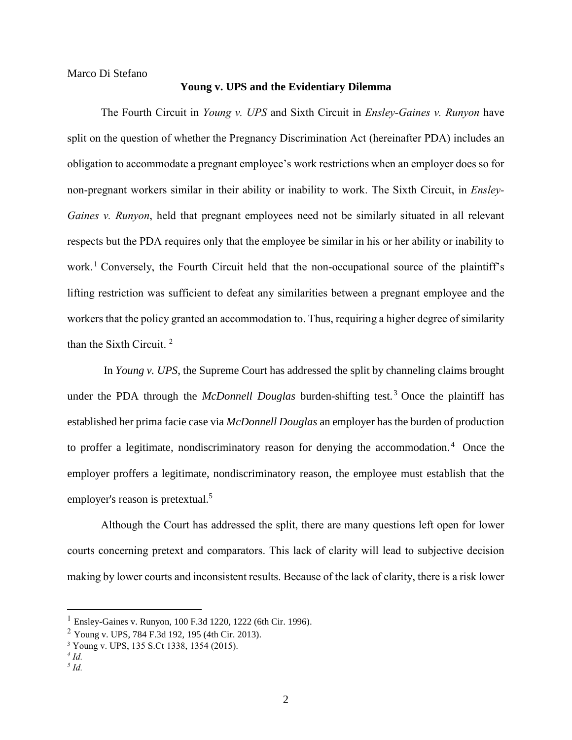Marco Di Stefano

#### **Young v. UPS and the Evidentiary Dilemma**

The Fourth Circuit in *Young v. UPS* and Sixth Circuit in *Ensley-Gaines v. Runyon* have split on the question of whether the Pregnancy Discrimination Act (hereinafter PDA) includes an obligation to accommodate a pregnant employee's work restrictions when an employer does so for non-pregnant workers similar in their ability or inability to work. The Sixth Circuit, in *Ensley-Gaines v. Runyon*, held that pregnant employees need not be similarly situated in all relevant respects but the PDA requires only that the employee be similar in his or her ability or inability to work.<sup>1</sup> Conversely, the Fourth Circuit held that the non-occupational source of the plaintiff's lifting restriction was sufficient to defeat any similarities between a pregnant employee and the workers that the policy granted an accommodation to. Thus, requiring a higher degree of similarity than the Sixth Circuit. <sup>2</sup>

In *Young v. UPS*, the Supreme Court has addressed the split by channeling claims brought under the PDA through the *McDonnell Douglas* burden-shifting test.<sup>3</sup> Once the plaintiff has established her prima facie case via *McDonnell Douglas* an employer has the burden of production to proffer a legitimate, nondiscriminatory reason for denying the accommodation.<sup>4</sup> Once the employer proffers a legitimate, nondiscriminatory reason, the employee must establish that the employer's reason is pretextual.<sup>5</sup>

Although the Court has addressed the split, there are many questions left open for lower courts concerning pretext and comparators. This lack of clarity will lead to subjective decision making by lower courts and inconsistent results. Because of the lack of clarity, there is a risk lower

<sup>1</sup> Ensley-Gaines v. Runyon, 100 F.3d 1220, 1222 (6th Cir. 1996).

 $2$  Young v. UPS, 784 F.3d 192, 195 (4th Cir. 2013).

<sup>3</sup> Young v. UPS, 135 S.Ct 1338, 1354 (2015).

*<sup>4</sup> Id.*

*<sup>5</sup> Id.*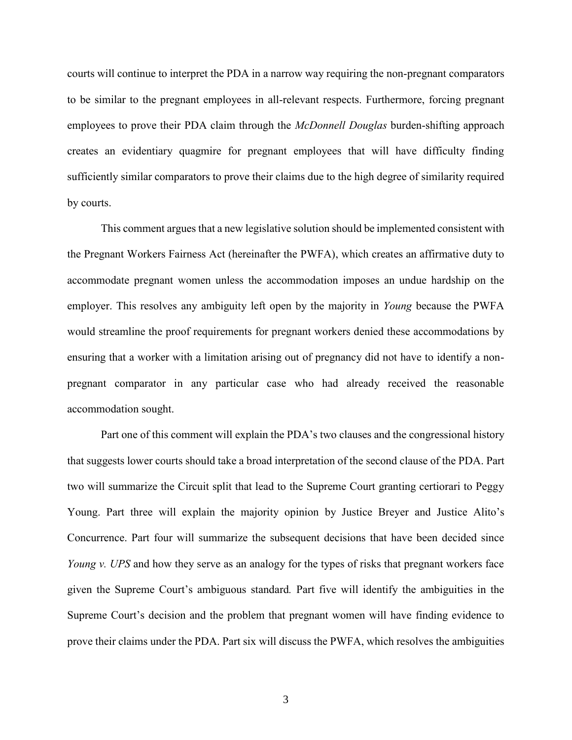courts will continue to interpret the PDA in a narrow way requiring the non-pregnant comparators to be similar to the pregnant employees in all-relevant respects. Furthermore, forcing pregnant employees to prove their PDA claim through the *McDonnell Douglas* burden-shifting approach creates an evidentiary quagmire for pregnant employees that will have difficulty finding sufficiently similar comparators to prove their claims due to the high degree of similarity required by courts.

This comment argues that a new legislative solution should be implemented consistent with the Pregnant Workers Fairness Act (hereinafter the PWFA), which creates an affirmative duty to accommodate pregnant women unless the accommodation imposes an undue hardship on the employer. This resolves any ambiguity left open by the majority in *Young* because the PWFA would streamline the proof requirements for pregnant workers denied these accommodations by ensuring that a worker with a limitation arising out of pregnancy did not have to identify a nonpregnant comparator in any particular case who had already received the reasonable accommodation sought.

Part one of this comment will explain the PDA's two clauses and the congressional history that suggests lower courts should take a broad interpretation of the second clause of the PDA. Part two will summarize the Circuit split that lead to the Supreme Court granting certiorari to Peggy Young. Part three will explain the majority opinion by Justice Breyer and Justice Alito's Concurrence. Part four will summarize the subsequent decisions that have been decided since *Young v. UPS* and how they serve as an analogy for the types of risks that pregnant workers face given the Supreme Court's ambiguous standard*.* Part five will identify the ambiguities in the Supreme Court's decision and the problem that pregnant women will have finding evidence to prove their claims under the PDA. Part six will discuss the PWFA, which resolves the ambiguities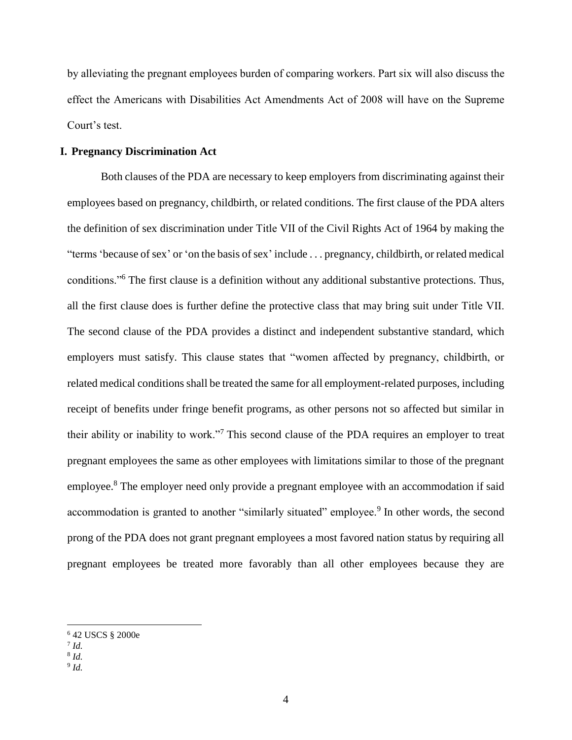by alleviating the pregnant employees burden of comparing workers. Part six will also discuss the effect the Americans with Disabilities Act Amendments Act of 2008 will have on the Supreme Court's test.

#### **I. Pregnancy Discrimination Act**

Both clauses of the PDA are necessary to keep employers from discriminating against their employees based on pregnancy, childbirth, or related conditions. The first clause of the PDA alters the definition of sex discrimination under Title VII of the Civil Rights Act of 1964 by making the "terms 'because of sex' or 'on the basis of sex' include . . . pregnancy, childbirth, or related medical conditions."<sup>6</sup> The first clause is a definition without any additional substantive protections. Thus, all the first clause does is further define the protective class that may bring suit under Title VII. The second clause of the PDA provides a distinct and independent substantive standard, which employers must satisfy. This clause states that "women affected by pregnancy, childbirth, or related medical conditions shall be treated the same for all employment-related purposes, including receipt of benefits under fringe benefit programs, as other persons not so affected but similar in their ability or inability to work."<sup>7</sup> This second clause of the PDA requires an employer to treat pregnant employees the same as other employees with limitations similar to those of the pregnant employee.<sup>8</sup> The employer need only provide a pregnant employee with an accommodation if said accommodation is granted to another "similarly situated" employee.<sup>9</sup> In other words, the second prong of the PDA does not grant pregnant employees a most favored nation status by requiring all pregnant employees be treated more favorably than all other employees because they are

<sup>6</sup> 42 USCS § 2000e

<sup>7</sup> *Id.*

<sup>8</sup> *Id.*

<sup>9</sup> *Id.*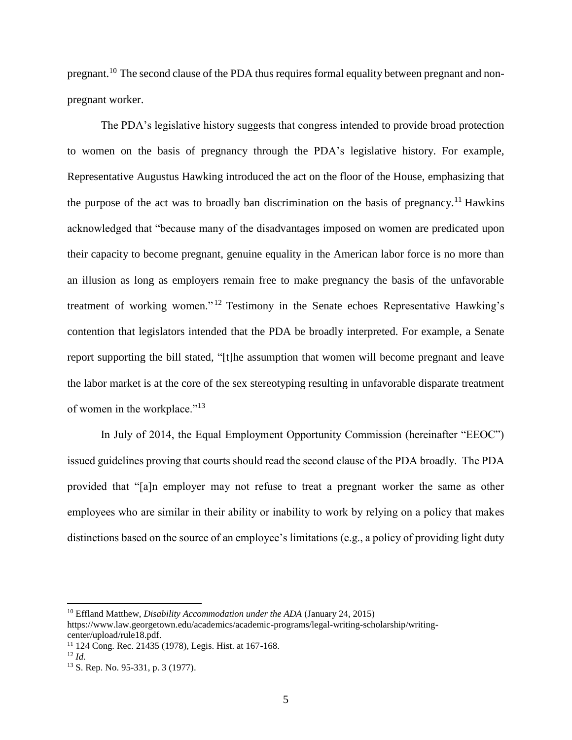pregnant.<sup>10</sup> The second clause of the PDA thus requires formal equality between pregnant and nonpregnant worker.

The PDA's legislative history suggests that congress intended to provide broad protection to women on the basis of pregnancy through the PDA's legislative history. For example, Representative Augustus Hawking introduced the act on the floor of the House, emphasizing that the purpose of the act was to broadly ban discrimination on the basis of pregnancy.<sup>11</sup> Hawkins acknowledged that "because many of the disadvantages imposed on women are predicated upon their capacity to become pregnant, genuine equality in the American labor force is no more than an illusion as long as employers remain free to make pregnancy the basis of the unfavorable treatment of working women." <sup>12</sup> Testimony in the Senate echoes Representative Hawking's contention that legislators intended that the PDA be broadly interpreted. For example, a Senate report supporting the bill stated, "[t]he assumption that women will become pregnant and leave the labor market is at the core of the sex stereotyping resulting in unfavorable disparate treatment of women in the workplace."<sup>13</sup>

In July of 2014, the Equal Employment Opportunity Commission (hereinafter "EEOC") issued guidelines proving that courts should read the second clause of the PDA broadly. The PDA provided that "[a]n employer may not refuse to treat a pregnant worker the same as other employees who are similar in their ability or inability to work by relying on a policy that makes distinctions based on the source of an employee's limitations (e.g., a policy of providing light duty

<sup>10</sup> Effland Matthew, *Disability Accommodation under the ADA* (January 24, 2015)

https://www.law.georgetown.edu/academics/academic-programs/legal-writing-scholarship/writingcenter/upload/rule18.pdf.

<sup>11</sup> 124 Cong. Rec. 21435 (1978), Legis. Hist. at 167-168.

<sup>12</sup> *Id.*

<sup>13</sup> S. Rep. No. 95-331, p. 3 (1977).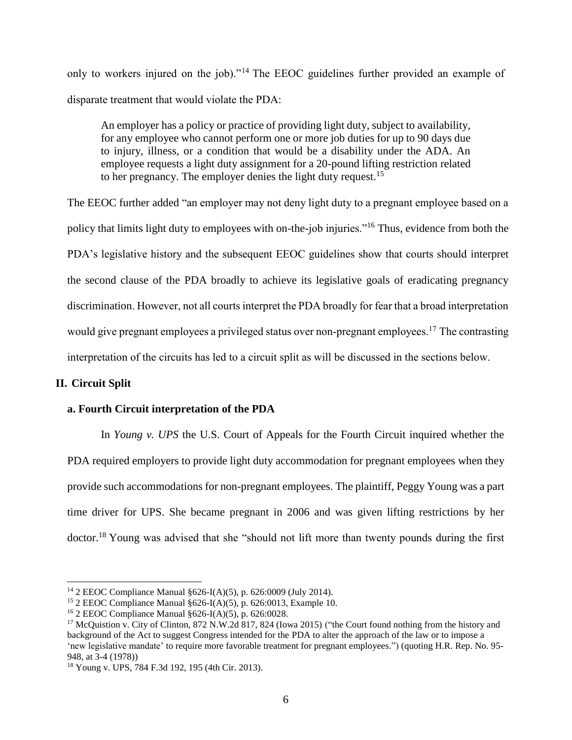only to workers injured on the job)."<sup>14</sup> The EEOC guidelines further provided an example of disparate treatment that would violate the PDA:

An employer has a policy or practice of providing light duty, subject to availability, for any employee who cannot perform one or more job duties for up to 90 days due to injury, illness, or a condition that would be a disability under the ADA. An employee requests a light duty assignment for a 20-pound lifting restriction related to her pregnancy. The employer denies the light duty request.<sup>15</sup>

The EEOC further added "an employer may not deny light duty to a pregnant employee based on a policy that limits light duty to employees with on-the-job injuries."<sup>16</sup> Thus, evidence from both the PDA's legislative history and the subsequent EEOC guidelines show that courts should interpret the second clause of the PDA broadly to achieve its legislative goals of eradicating pregnancy discrimination. However, not all courts interpret the PDA broadly for fear that a broad interpretation would give pregnant employees a privileged status over non-pregnant employees.<sup>17</sup> The contrasting interpretation of the circuits has led to a circuit split as will be discussed in the sections below.

#### **II. Circuit Split**

#### **a. Fourth Circuit interpretation of the PDA**

In *Young v. UPS* the U.S. Court of Appeals for the Fourth Circuit inquired whether the PDA required employers to provide light duty accommodation for pregnant employees when they provide such accommodations for non-pregnant employees. The plaintiff, Peggy Young was a part time driver for UPS. She became pregnant in 2006 and was given lifting restrictions by her doctor.<sup>18</sup> Young was advised that she "should not lift more than twenty pounds during the first

l <sup>14</sup> 2 EEOC Compliance Manual §626-I(A)(5), p. 626:0009 (July 2014).

<sup>&</sup>lt;sup>15</sup> 2 EEOC Compliance Manual  $§626-I(A)(5)$ , p. 626:0013, Example 10.

<sup>16</sup> 2 EEOC Compliance Manual §626-I(A)(5), p. 626:0028.

<sup>&</sup>lt;sup>17</sup> McQuistion v. City of Clinton, 872 N.W.2d 817, 824 (Iowa 2015) ("the Court found nothing from the history and background of the Act to suggest Congress intended for the PDA to alter the approach of the law or to impose a 'new legislative mandate' to require more favorable treatment for pregnant employees.") (quoting H.R. Rep. No. 95- 948, at 3-4 (1978))

<sup>18</sup> Young v. UPS, 784 F.3d 192, 195 (4th Cir. 2013).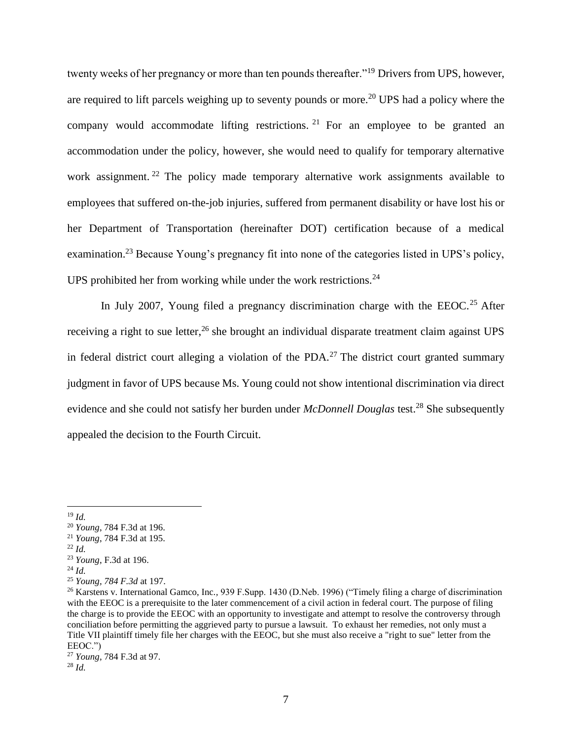twenty weeks of her pregnancy or more than ten pounds thereafter."<sup>19</sup> Drivers from UPS, however, are required to lift parcels weighing up to seventy pounds or more.<sup>20</sup> UPS had a policy where the company would accommodate lifting restrictions.  $2^1$  For an employee to be granted an accommodation under the policy, however, she would need to qualify for temporary alternative work assignment.<sup>22</sup> The policy made temporary alternative work assignments available to employees that suffered on-the-job injuries, suffered from permanent disability or have lost his or her Department of Transportation (hereinafter DOT) certification because of a medical examination.<sup>23</sup> Because Young's pregnancy fit into none of the categories listed in UPS's policy, UPS prohibited her from working while under the work restrictions. $24$ 

In July 2007, Young filed a pregnancy discrimination charge with the EEOC.<sup>25</sup> After receiving a right to sue letter,<sup>26</sup> she brought an individual disparate treatment claim against UPS in federal district court alleging a violation of the PDA.<sup>27</sup> The district court granted summary judgment in favor of UPS because Ms. Young could not show intentional discrimination via direct evidence and she could not satisfy her burden under *McDonnell Douglas* test.<sup>28</sup> She subsequently appealed the decision to the Fourth Circuit.

 $\overline{\phantom{a}}$ 

 $^{22}$  *Id.* 

<sup>19</sup> *Id.*

<sup>20</sup> *Young*, 784 F.3d at 196.

<sup>21</sup> *Young*, 784 F.3d at 195.

<sup>23</sup> *Young*, F.3d at 196.

<sup>24</sup> *Id.*

<sup>25</sup> *Young, 784 F.3d* at 197.

<sup>26</sup> Karstens v. International Gamco, Inc*.,* 939 F.Supp. 1430 (D.Neb. 1996) ("Timely filing a charge of discrimination with the EEOC is a prerequisite to the later commencement of a civil action in federal court. The purpose of filing the charge is to provide the EEOC with an opportunity to investigate and attempt to resolve the controversy through conciliation before permitting the aggrieved party to pursue a lawsuit. To exhaust her remedies, not only must a Title VII plaintiff timely file her charges with the EEOC, but she must also receive a "right to sue" letter from the EEOC.")

<sup>27</sup> *Young,* 784 F.3d at 97. <sup>28</sup> *Id.*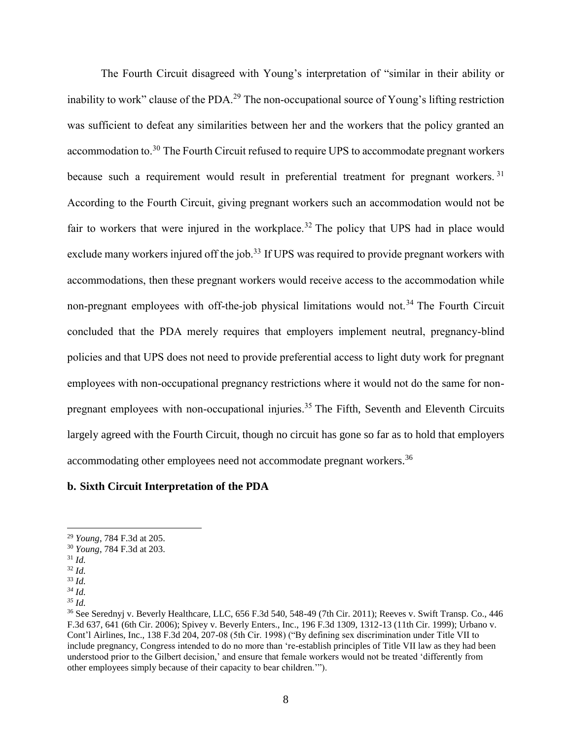The Fourth Circuit disagreed with Young's interpretation of "similar in their ability or inability to work" clause of the PDA.<sup>29</sup> The non-occupational source of Young's lifting restriction was sufficient to defeat any similarities between her and the workers that the policy granted an accommodation to.<sup>30</sup> The Fourth Circuit refused to require UPS to accommodate pregnant workers because such a requirement would result in preferential treatment for pregnant workers.<sup>31</sup> According to the Fourth Circuit, giving pregnant workers such an accommodation would not be fair to workers that were injured in the workplace.<sup>32</sup> The policy that UPS had in place would exclude many workers injured off the job.<sup>33</sup> If UPS was required to provide pregnant workers with accommodations, then these pregnant workers would receive access to the accommodation while non-pregnant employees with off-the-job physical limitations would not.<sup>34</sup> The Fourth Circuit concluded that the PDA merely requires that employers implement neutral, pregnancy-blind policies and that UPS does not need to provide preferential access to light duty work for pregnant employees with non-occupational pregnancy restrictions where it would not do the same for nonpregnant employees with non-occupational injuries.<sup>35</sup> The Fifth, Seventh and Eleventh Circuits largely agreed with the Fourth Circuit, though no circuit has gone so far as to hold that employers accommodating other employees need not accommodate pregnant workers.<sup>36</sup>

#### **b. Sixth Circuit Interpretation of the PDA**

<sup>29</sup> *Young*, 784 F.3d at 205.

<sup>30</sup> *Young*, 784 F.3d at 203.

<sup>31</sup> *Id.* 

 $32$  *Id.* 

<sup>33</sup> *Id.*

*<sup>34</sup> Id.*

*<sup>35</sup> Id.*

<sup>36</sup> See Serednyj v. Beverly Healthcare, LLC, 656 F.3d 540, 548-49 (7th Cir. 2011); Reeves v. Swift Transp. Co., 446 F.3d 637, 641 (6th Cir. 2006); Spivey v. Beverly Enters., Inc., 196 F.3d 1309, 1312-13 (11th Cir. 1999); Urbano v. Cont'l Airlines, Inc., 138 F.3d 204, 207-08 (5th Cir. 1998) ("By defining sex discrimination under Title VII to include pregnancy, Congress intended to do no more than 're-establish principles of Title VII law as they had been understood prior to the Gilbert decision,' and ensure that female workers would not be treated 'differently from other employees simply because of their capacity to bear children.'").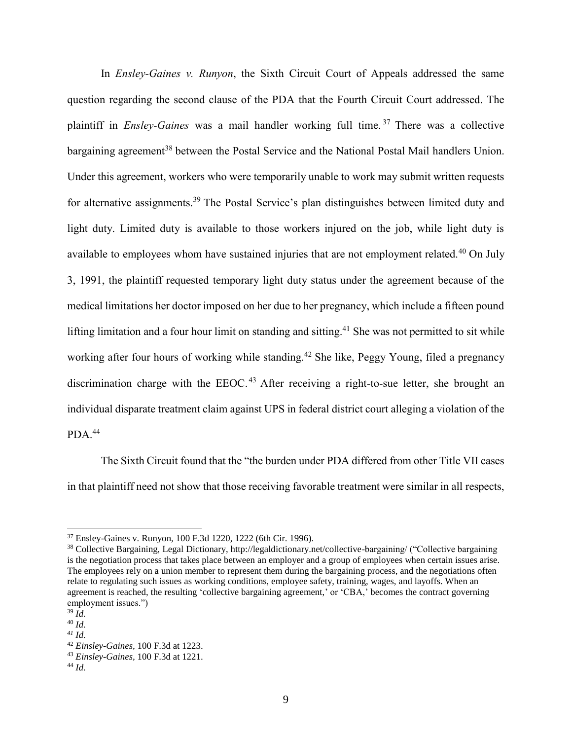In *Ensley-Gaines v. Runyon*, the Sixth Circuit Court of Appeals addressed the same question regarding the second clause of the PDA that the Fourth Circuit Court addressed. The plaintiff in *Ensley-Gaines* was a mail handler working full time. <sup>37</sup> There was a collective bargaining agreement<sup>38</sup> between the Postal Service and the National Postal Mail handlers Union. Under this agreement, workers who were temporarily unable to work may submit written requests for alternative assignments.<sup>39</sup> The Postal Service's plan distinguishes between limited duty and light duty. Limited duty is available to those workers injured on the job, while light duty is available to employees whom have sustained injuries that are not employment related.<sup>40</sup> On July 3, 1991, the plaintiff requested temporary light duty status under the agreement because of the medical limitations her doctor imposed on her due to her pregnancy, which include a fifteen pound lifting limitation and a four hour limit on standing and sitting.<sup>41</sup> She was not permitted to sit while working after four hours of working while standing.<sup>42</sup> She like, Peggy Young, filed a pregnancy discrimination charge with the  $EEOC<sup>43</sup>$  After receiving a right-to-sue letter, she brought an individual disparate treatment claim against UPS in federal district court alleging a violation of the  $PDA.<sup>44</sup>$ 

The Sixth Circuit found that the "the burden under PDA differed from other Title VII cases in that plaintiff need not show that those receiving favorable treatment were similar in all respects,

<sup>37</sup> Ensley-Gaines v. Runyon, 100 F.3d 1220, 1222 (6th Cir. 1996).

<sup>38</sup> Collective Bargaining, Legal Dictionary, http://legaldictionary.net/collective-bargaining/ ("Collective bargaining is the negotiation process that takes place between an employer and a group of employees when certain issues arise. The employees rely on a union member to represent them during the bargaining process, and the negotiations often relate to regulating such issues as working conditions, employee safety, training, wages, and layoffs. When an agreement is reached, the resulting 'collective bargaining agreement,' or 'CBA,' becomes the contract governing employment issues.")

<sup>39</sup> *Id.*

<sup>40</sup> *Id.*

*<sup>41</sup> Id.*

<sup>42</sup> *Einsley-Gaines,* 100 F.3d at 1223.

<sup>43</sup> *Einsley-Gaines,* 100 F.3d at 1221.

<sup>44</sup> *Id.*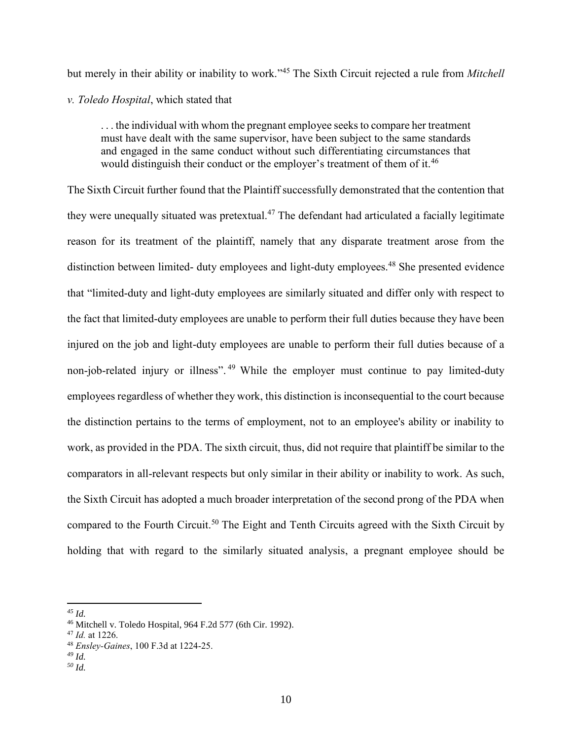but merely in their ability or inability to work." <sup>45</sup> The Sixth Circuit rejected a rule from *Mitchell v. Toledo Hospital*, which stated that

. . . the individual with whom the pregnant employee seeks to compare her treatment must have dealt with the same supervisor, have been subject to the same standards and engaged in the same conduct without such differentiating circumstances that would distinguish their conduct or the employer's treatment of them of it.<sup>46</sup>

The Sixth Circuit further found that the Plaintiff successfully demonstrated that the contention that they were unequally situated was pretextual.<sup>47</sup> The defendant had articulated a facially legitimate reason for its treatment of the plaintiff, namely that any disparate treatment arose from the distinction between limited- duty employees and light-duty employees.<sup>48</sup> She presented evidence that "limited-duty and light-duty employees are similarly situated and differ only with respect to the fact that limited-duty employees are unable to perform their full duties because they have been injured on the job and light-duty employees are unable to perform their full duties because of a non-job-related injury or illness".<sup>49</sup> While the employer must continue to pay limited-duty employees regardless of whether they work, this distinction is inconsequential to the court because the distinction pertains to the terms of employment, not to an employee's ability or inability to work, as provided in the PDA. The sixth circuit, thus, did not require that plaintiff be similar to the comparators in all-relevant respects but only similar in their ability or inability to work. As such, the Sixth Circuit has adopted a much broader interpretation of the second prong of the PDA when compared to the Fourth Circuit.<sup>50</sup> The Eight and Tenth Circuits agreed with the Sixth Circuit by holding that with regard to the similarly situated analysis, a pregnant employee should be

*<sup>50</sup> Id.*

 $\overline{\phantom{a}}$ *<sup>45</sup> Id.*

<sup>46</sup> Mitchell v. Toledo Hospital, 964 F.2d 577 (6th Cir. 1992).

<sup>47</sup> *Id.* at 1226.

<sup>48</sup> *Ensley-Gaines*, 100 F.3d at 1224-25.

*<sup>49</sup> Id.*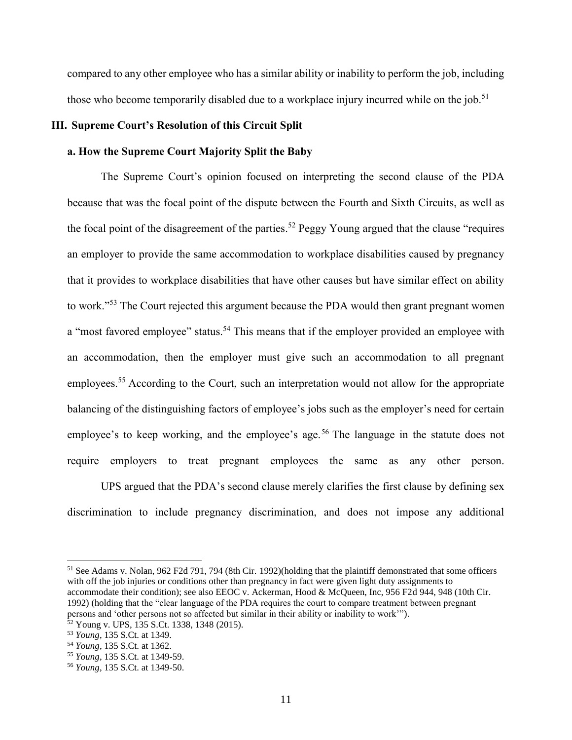compared to any other employee who has a similar ability or inability to perform the job, including those who become temporarily disabled due to a workplace injury incurred while on the job.<sup>51</sup>

#### **III. Supreme Court's Resolution of this Circuit Split**

#### **a. How the Supreme Court Majority Split the Baby**

The Supreme Court's opinion focused on interpreting the second clause of the PDA because that was the focal point of the dispute between the Fourth and Sixth Circuits, as well as the focal point of the disagreement of the parties.<sup>52</sup> Peggy Young argued that the clause "requires" an employer to provide the same accommodation to workplace disabilities caused by pregnancy that it provides to workplace disabilities that have other causes but have similar effect on ability to work."<sup>53</sup> The Court rejected this argument because the PDA would then grant pregnant women a "most favored employee" status.<sup>54</sup> This means that if the employer provided an employee with an accommodation, then the employer must give such an accommodation to all pregnant employees.<sup>55</sup> According to the Court, such an interpretation would not allow for the appropriate balancing of the distinguishing factors of employee's jobs such as the employer's need for certain employee's to keep working, and the employee's age.<sup>56</sup> The language in the statute does not require employers to treat pregnant employees the same as any other person.

UPS argued that the PDA's second clause merely clarifies the first clause by defining sex discrimination to include pregnancy discrimination, and does not impose any additional

<sup>51</sup> See Adams v. Nolan, 962 F2d 791, 794 (8th Cir. 1992)(holding that the plaintiff demonstrated that some officers with off the job injuries or conditions other than pregnancy in fact were given light duty assignments to accommodate their condition); see also EEOC v. Ackerman, Hood & McQueen, Inc, 956 F2d 944, 948 (10th Cir. 1992) (holding that the "clear language of the PDA requires the court to compare treatment between pregnant persons and 'other persons not so affected but similar in their ability or inability to work'").

<sup>52</sup> Young v. UPS, 135 S.Ct. 1338, 1348 (2015).

<sup>53</sup> *Young*, 135 S.Ct. at 1349.

<sup>54</sup> *Young*, 135 S.Ct. at 1362.

<sup>55</sup> *Young*, 135 S.Ct. at 1349-59.

<sup>56</sup> *Young*, 135 S.Ct. at 1349-50.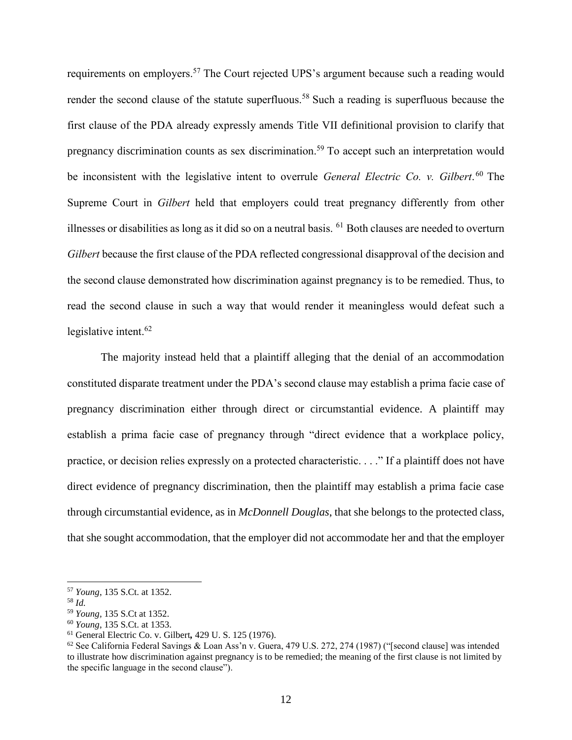requirements on employers.<sup>57</sup> The Court rejected UPS's argument because such a reading would render the second clause of the statute superfluous.<sup>58</sup> Such a reading is superfluous because the first clause of the PDA already expressly amends Title VII definitional provision to clarify that pregnancy discrimination counts as sex discrimination.<sup>59</sup> To accept such an interpretation would be inconsistent with the legislative intent to overrule *General Electric Co. v. Gilbert*. <sup>60</sup> The Supreme Court in *Gilbert* held that employers could treat pregnancy differently from other illnesses or disabilities as long as it did so on a neutral basis. <sup>61</sup> Both clauses are needed to overturn *Gilbert* because the first clause of the PDA reflected congressional disapproval of the decision and the second clause demonstrated how discrimination against pregnancy is to be remedied. Thus, to read the second clause in such a way that would render it meaningless would defeat such a legislative intent. 62

The majority instead held that a plaintiff alleging that the denial of an accommodation constituted disparate treatment under the PDA's second clause may establish a prima facie case of pregnancy discrimination either through direct or circumstantial evidence. A plaintiff may establish a prima facie case of pregnancy through "direct evidence that a workplace policy, practice, or decision relies expressly on a protected characteristic. . . ." If a plaintiff does not have direct evidence of pregnancy discrimination, then the plaintiff may establish a prima facie case through circumstantial evidence, as in *McDonnell Douglas*, that she belongs to the protected class, that she sought accommodation, that the employer did not accommodate her and that the employer

l

<sup>57</sup> *Young*, 135 S.Ct. at 1352.

<sup>58</sup> *Id.*

<sup>59</sup> *Young,* 135 S.Ct at 1352.

<sup>60</sup> *Young*, 135 S.Ct. at 1353.

<sup>61</sup> General Electric Co. v. Gilbert*,* 429 U. S. 125 (1976).

 $62$  See California Federal Savings & Loan Ass'n v. Guera, 479 U.S. 272, 274 (1987) ("[second clause] was intended to illustrate how discrimination against pregnancy is to be remedied; the meaning of the first clause is not limited by the specific language in the second clause").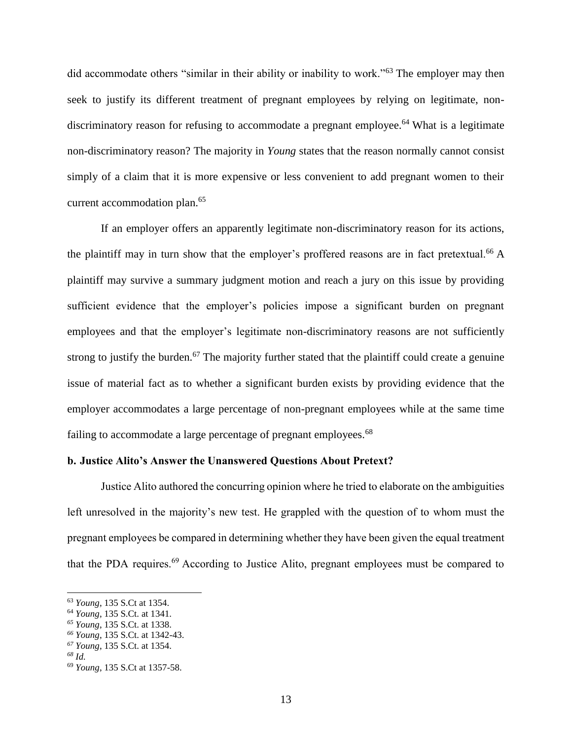did accommodate others "similar in their ability or inability to work."<sup>63</sup> The employer may then seek to justify its different treatment of pregnant employees by relying on legitimate, nondiscriminatory reason for refusing to accommodate a pregnant employee.<sup>64</sup> What is a legitimate non-discriminatory reason? The majority in *Young* states that the reason normally cannot consist simply of a claim that it is more expensive or less convenient to add pregnant women to their current accommodation plan.<sup>65</sup>

If an employer offers an apparently legitimate non-discriminatory reason for its actions, the plaintiff may in turn show that the employer's proffered reasons are in fact pretextual.<sup>66</sup> A plaintiff may survive a summary judgment motion and reach a jury on this issue by providing sufficient evidence that the employer's policies impose a significant burden on pregnant employees and that the employer's legitimate non-discriminatory reasons are not sufficiently strong to justify the burden.<sup>67</sup> The majority further stated that the plaintiff could create a genuine issue of material fact as to whether a significant burden exists by providing evidence that the employer accommodates a large percentage of non-pregnant employees while at the same time failing to accommodate a large percentage of pregnant employees.<sup>68</sup>

#### **b. Justice Alito's Answer the Unanswered Questions About Pretext?**

Justice Alito authored the concurring opinion where he tried to elaborate on the ambiguities left unresolved in the majority's new test. He grappled with the question of to whom must the pregnant employees be compared in determining whether they have been given the equal treatment that the PDA requires.<sup>69</sup> According to Justice Alito, pregnant employees must be compared to

 $\overline{a}$ 

<sup>63</sup> *Young*, 135 S.Ct at 1354.

<sup>64</sup> *Young*, 135 S.Ct. at 1341.

*<sup>65</sup> Young*, 135 S.Ct. at 1338.

*<sup>66</sup> Young*, 135 S.Ct. at 1342-43.

*<sup>67</sup> Young*, 135 S.Ct. at 1354.

*<sup>68</sup> Id.*

<sup>69</sup> *Young*, 135 S.Ct at 1357-58.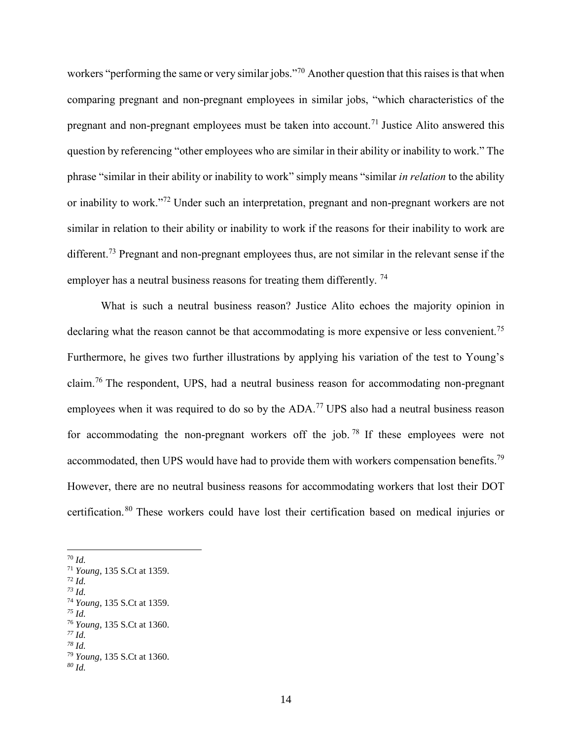workers "performing the same or very similar jobs."<sup>70</sup> Another question that this raises is that when comparing pregnant and non-pregnant employees in similar jobs, "which characteristics of the pregnant and non-pregnant employees must be taken into account.<sup>71</sup> Justice Alito answered this question by referencing "other employees who are similar in their ability or inability to work." The phrase "similar in their ability or inability to work" simply means "similar *in relation* to the ability or inability to work."<sup>72</sup> Under such an interpretation, pregnant and non-pregnant workers are not similar in relation to their ability or inability to work if the reasons for their inability to work are different.<sup>73</sup> Pregnant and non-pregnant employees thus, are not similar in the relevant sense if the employer has a neutral business reasons for treating them differently.<sup>74</sup>

What is such a neutral business reason? Justice Alito echoes the majority opinion in declaring what the reason cannot be that accommodating is more expensive or less convenient.<sup>75</sup> Furthermore, he gives two further illustrations by applying his variation of the test to Young's claim.<sup>76</sup> The respondent, UPS, had a neutral business reason for accommodating non-pregnant employees when it was required to do so by the ADA.<sup>77</sup> UPS also had a neutral business reason for accommodating the non-pregnant workers off the job. <sup>78</sup> If these employees were not accommodated, then UPS would have had to provide them with workers compensation benefits.<sup>79</sup> However, there are no neutral business reasons for accommodating workers that lost their DOT certification.<sup>80</sup> These workers could have lost their certification based on medical injuries or

l

<sup>72</sup> *Id. <sup>73</sup> Id.*

*<sup>75</sup> Id.*

<sup>70</sup> *Id.*

<sup>71</sup> *Young*, 135 S.Ct at 1359.

<sup>74</sup> *Young*, 135 S.Ct at 1359.

<sup>76</sup> *Young*, 135 S.Ct at 1360.

*<sup>77</sup> Id.*

*<sup>78</sup> Id.*

<sup>79</sup> *Young*, 135 S.Ct at 1360.

*<sup>80</sup> Id.*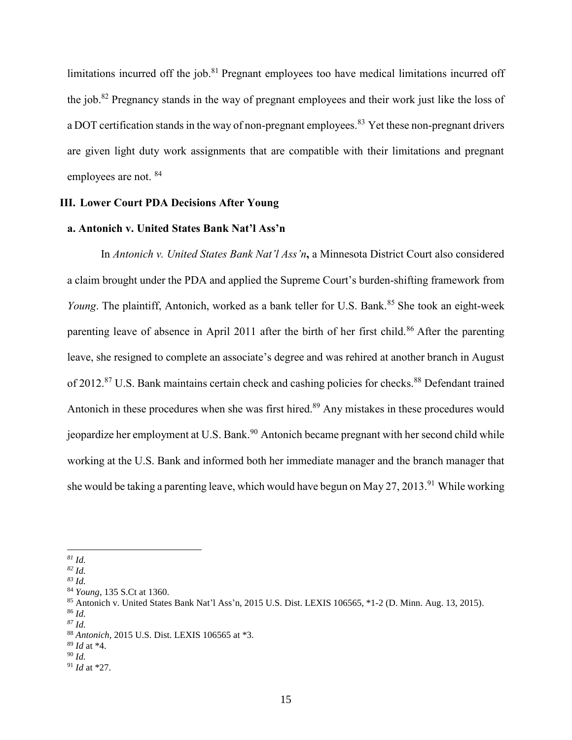limitations incurred off the job.<sup>81</sup> Pregnant employees too have medical limitations incurred off the job.<sup>82</sup> Pregnancy stands in the way of pregnant employees and their work just like the loss of a DOT certification stands in the way of non-pregnant employees.<sup>83</sup> Yet these non-pregnant drivers are given light duty work assignments that are compatible with their limitations and pregnant employees are not. <sup>84</sup>

#### **III. Lower Court PDA Decisions After Young**

#### **a. Antonich v. United States Bank Nat'l Ass'n**

In *Antonich v. United States Bank Nat'l Ass'n***,** a Minnesota District Court also considered a claim brought under the PDA and applied the Supreme Court's burden-shifting framework from *Young*. The plaintiff, Antonich, worked as a bank teller for U.S. Bank.<sup>85</sup> She took an eight-week parenting leave of absence in April 2011 after the birth of her first child.<sup>86</sup> After the parenting leave, she resigned to complete an associate's degree and was rehired at another branch in August of 2012.<sup>87</sup> U.S. Bank maintains certain check and cashing policies for checks.<sup>88</sup> Defendant trained Antonich in these procedures when she was first hired.<sup>89</sup> Any mistakes in these procedures would jeopardize her employment at U.S. Bank.<sup>90</sup> Antonich became pregnant with her second child while working at the U.S. Bank and informed both her immediate manager and the branch manager that she would be taking a parenting leave, which would have begun on May 27, 2013.<sup>91</sup> While working

l *<sup>81</sup> Id.*

*<sup>82</sup> Id.*

*<sup>83</sup> Id.*

<sup>84</sup> *Young*, 135 S.Ct at 1360.

<sup>85</sup> Antonich v. United States Bank Nat'l Ass'n, 2015 U.S. Dist. LEXIS 106565, \*1-2 (D. Minn. Aug. 13, 2015).

<sup>86</sup> *Id.*

*<sup>87</sup> Id.*

<sup>88</sup> *Antonich,* 2015 U.S. Dist. LEXIS 106565 at \*3.

<sup>89</sup> *Id* at \*4.

<sup>90</sup> *Id.*

<sup>91</sup> *Id* at \*27.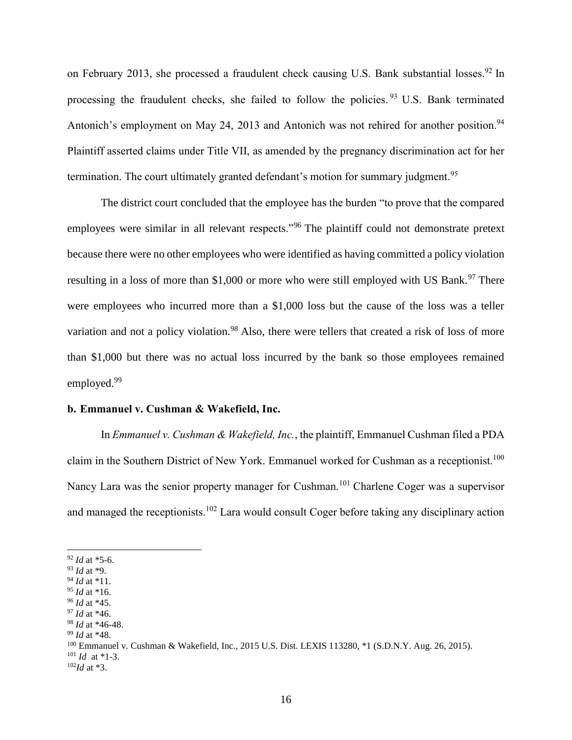on February 2013, she processed a fraudulent check causing U.S. Bank substantial losses.<sup>92</sup> In processing the fraudulent checks, she failed to follow the policies.<sup>93</sup> U.S. Bank terminated Antonich's employment on May 24, 2013 and Antonich was not rehired for another position.<sup>94</sup> Plaintiff asserted claims under Title VII, as amended by the pregnancy discrimination act for her termination. The court ultimately granted defendant's motion for summary judgment.<sup>95</sup>

The district court concluded that the employee has the burden "to prove that the compared employees were similar in all relevant respects."<sup>96</sup> The plaintiff could not demonstrate pretext because there were no other employees who were identified as having committed a policy violation resulting in a loss of more than \$1,000 or more who were still employed with US Bank.<sup>97</sup> There were employees who incurred more than a \$1,000 loss but the cause of the loss was a teller variation and not a policy violation.<sup>98</sup> Also, there were tellers that created a risk of loss of more than \$1,000 but there was no actual loss incurred by the bank so those employees remained employed.<sup>99</sup>

#### **b. Emmanuel v. Cushman & Wakefield, Inc.**

In *Emmanuel v. Cushman & Wakefield, Inc.*, the plaintiff, Emmanuel Cushman filed a PDA claim in the Southern District of New York. Emmanuel worked for Cushman as a receptionist.<sup>100</sup> Nancy Lara was the senior property manager for Cushman.<sup>101</sup> Charlene Coger was a supervisor and managed the receptionists.<sup>102</sup> Lara would consult Coger before taking any disciplinary action

l

<sup>92</sup> *Id* at \*5-6.

<sup>93</sup> *Id* at \*9.

<sup>94</sup> *Id* at \*11.

<sup>95</sup> *Id* at \*16.

<sup>96</sup> *Id* at \*45.

<sup>97</sup> *Id* at \*46.

<sup>98</sup> *Id* at \*46-48.

<sup>99</sup> *Id* at \*48.

<sup>100</sup> Emmanuel v. Cushman & Wakefield, Inc., 2015 U.S. Dist. LEXIS 113280, \*1 (S.D.N.Y. Aug. 26, 2015).

 $101$  *Id at* \*1-3.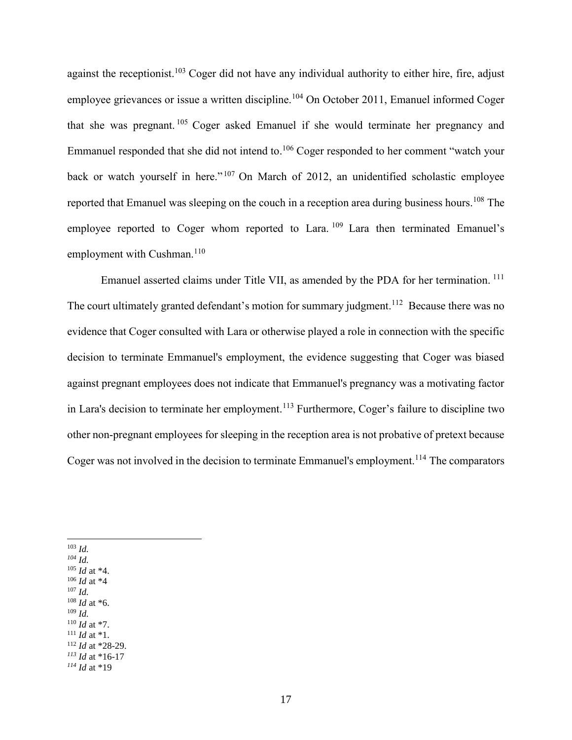against the receptionist.<sup>103</sup> Coger did not have any individual authority to either hire, fire, adjust employee grievances or issue a written discipline.<sup>104</sup> On October 2011, Emanuel informed Coger that she was pregnant. <sup>105</sup> Coger asked Emanuel if she would terminate her pregnancy and Emmanuel responded that she did not intend to.<sup>106</sup> Coger responded to her comment "watch your back or watch yourself in here."<sup>107</sup> On March of 2012, an unidentified scholastic employee reported that Emanuel was sleeping on the couch in a reception area during business hours.<sup>108</sup> The employee reported to Coger whom reported to Lara. <sup>109</sup> Lara then terminated Emanuel's employment with Cushman.<sup>110</sup>

Emanuel asserted claims under Title VII, as amended by the PDA for her termination.<sup>111</sup> The court ultimately granted defendant's motion for summary judgment.<sup>112</sup> Because there was no evidence that Coger consulted with Lara or otherwise played a role in connection with the specific decision to terminate Emmanuel's employment, the evidence suggesting that Coger was biased against pregnant employees does not indicate that Emmanuel's pregnancy was a motivating factor in Lara's decision to terminate her employment.<sup>113</sup> Furthermore, Coger's failure to discipline two other non-pregnant employees for sleeping in the reception area is not probative of pretext because Coger was not involved in the decision to terminate Emmanuel's employment.<sup>114</sup> The comparators

 $\overline{a}$ <sup>103</sup> *Id.*

*<sup>104</sup> Id.* <sup>105</sup> *Id* at \*4. <sup>106</sup> *Id* at \*4 <sup>107</sup> *Id.* <sup>108</sup> *Id* at \*6.

<sup>109</sup> *Id.* <sup>110</sup> *Id* at \*7.  $111$  *Id* at \*1.

<sup>112</sup> *Id* at \*28-29.

*<sup>113</sup> Id* at \*16-17

*<sup>114</sup> Id* at \*19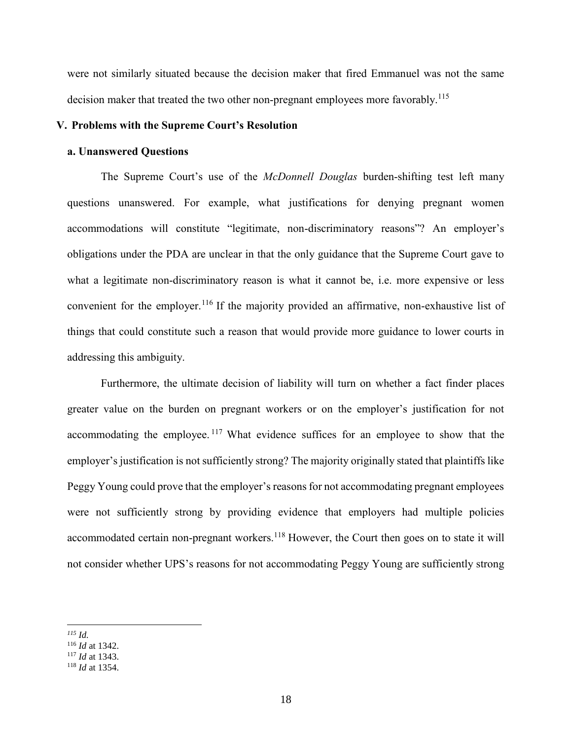were not similarly situated because the decision maker that fired Emmanuel was not the same decision maker that treated the two other non-pregnant employees more favorably.<sup>115</sup>

#### **V. Problems with the Supreme Court's Resolution**

#### **a. Unanswered Questions**

The Supreme Court's use of the *McDonnell Douglas* burden-shifting test left many questions unanswered. For example, what justifications for denying pregnant women accommodations will constitute "legitimate, non-discriminatory reasons"? An employer's obligations under the PDA are unclear in that the only guidance that the Supreme Court gave to what a legitimate non-discriminatory reason is what it cannot be, i.e. more expensive or less convenient for the employer.<sup>116</sup> If the majority provided an affirmative, non-exhaustive list of things that could constitute such a reason that would provide more guidance to lower courts in addressing this ambiguity.

Furthermore, the ultimate decision of liability will turn on whether a fact finder places greater value on the burden on pregnant workers or on the employer's justification for not accommodating the employee. <sup>117</sup> What evidence suffices for an employee to show that the employer's justification is not sufficiently strong? The majority originally stated that plaintiffs like Peggy Young could prove that the employer's reasons for not accommodating pregnant employees were not sufficiently strong by providing evidence that employers had multiple policies accommodated certain non-pregnant workers.<sup>118</sup> However, the Court then goes on to state it will not consider whether UPS's reasons for not accommodating Peggy Young are sufficiently strong

 $\overline{a}$ *<sup>115</sup> Id.*

<sup>116</sup> *Id* at 1342.

<sup>117</sup> *Id* at 1343.

<sup>118</sup> *Id* at 1354.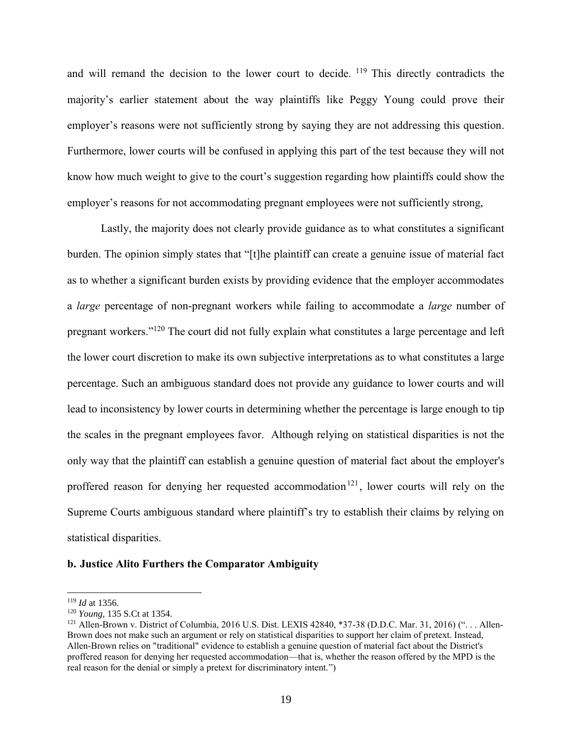and will remand the decision to the lower court to decide.  $^{119}$  This directly contradicts the majority's earlier statement about the way plaintiffs like Peggy Young could prove their employer's reasons were not sufficiently strong by saying they are not addressing this question. Furthermore, lower courts will be confused in applying this part of the test because they will not know how much weight to give to the court's suggestion regarding how plaintiffs could show the employer's reasons for not accommodating pregnant employees were not sufficiently strong,

Lastly, the majority does not clearly provide guidance as to what constitutes a significant burden. The opinion simply states that "[t]he plaintiff can create a genuine issue of material fact as to whether a significant burden exists by providing evidence that the employer accommodates a *large* percentage of non-pregnant workers while failing to accommodate a *large* number of pregnant workers."<sup>120</sup> The court did not fully explain what constitutes a large percentage and left the lower court discretion to make its own subjective interpretations as to what constitutes a large percentage. Such an ambiguous standard does not provide any guidance to lower courts and will lead to inconsistency by lower courts in determining whether the percentage is large enough to tip the scales in the pregnant employees favor. Although relying on statistical disparities is not the only way that the plaintiff can establish a genuine question of material fact about the employer's proffered reason for denying her requested accommodation<sup>121</sup>, lower courts will rely on the Supreme Courts ambiguous standard where plaintiff's try to establish their claims by relying on statistical disparities.

#### **b. Justice Alito Furthers the Comparator Ambiguity**

 $\overline{a}$ 

<sup>119</sup> *Id* at 1356.

<sup>120</sup> *Young,* 135 S.Ct at 1354.

<sup>&</sup>lt;sup>121</sup> Allen-Brown v. District of Columbia, 2016 U.S. Dist. LEXIS 42840, \*37-38 (D.D.C. Mar. 31, 2016) ("... Allen-Brown does not make such an argument or rely on statistical disparities to support her claim of pretext. Instead, Allen-Brown relies on "traditional" evidence to establish a genuine question of material fact about the District's proffered reason for denying her requested accommodation—that is, whether the reason offered by the MPD is the real reason for the denial or simply a pretext for discriminatory intent.")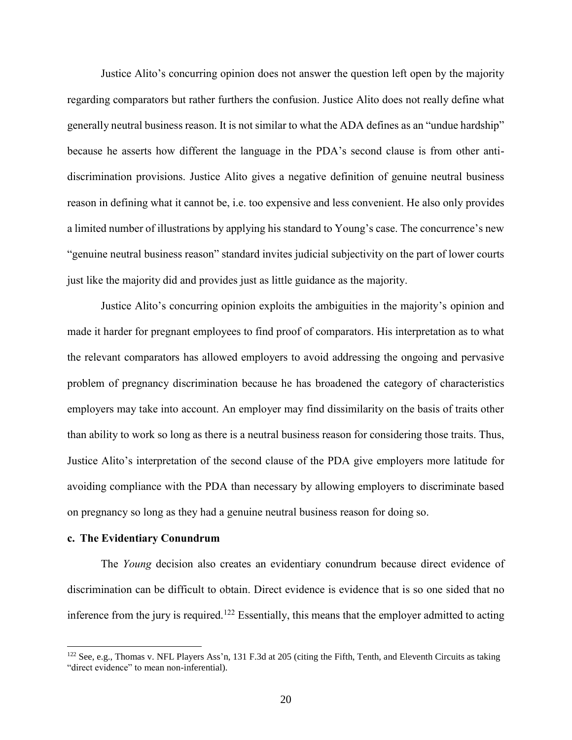Justice Alito's concurring opinion does not answer the question left open by the majority regarding comparators but rather furthers the confusion. Justice Alito does not really define what generally neutral business reason. It is not similar to what the ADA defines as an "undue hardship" because he asserts how different the language in the PDA's second clause is from other antidiscrimination provisions. Justice Alito gives a negative definition of genuine neutral business reason in defining what it cannot be, i.e. too expensive and less convenient. He also only provides a limited number of illustrations by applying his standard to Young's case. The concurrence's new "genuine neutral business reason" standard invites judicial subjectivity on the part of lower courts just like the majority did and provides just as little guidance as the majority.

Justice Alito's concurring opinion exploits the ambiguities in the majority's opinion and made it harder for pregnant employees to find proof of comparators. His interpretation as to what the relevant comparators has allowed employers to avoid addressing the ongoing and pervasive problem of pregnancy discrimination because he has broadened the category of characteristics employers may take into account. An employer may find dissimilarity on the basis of traits other than ability to work so long as there is a neutral business reason for considering those traits. Thus, Justice Alito's interpretation of the second clause of the PDA give employers more latitude for avoiding compliance with the PDA than necessary by allowing employers to discriminate based on pregnancy so long as they had a genuine neutral business reason for doing so.

#### **c. The Evidentiary Conundrum**

l

The *Young* decision also creates an evidentiary conundrum because direct evidence of discrimination can be difficult to obtain. Direct evidence is evidence that is so one sided that no inference from the jury is required.<sup>122</sup> Essentially, this means that the employer admitted to acting

 $122$  See, e.g., Thomas v. NFL Players Ass'n, 131 F.3d at 205 (citing the Fifth, Tenth, and Eleventh Circuits as taking "direct evidence" to mean non-inferential).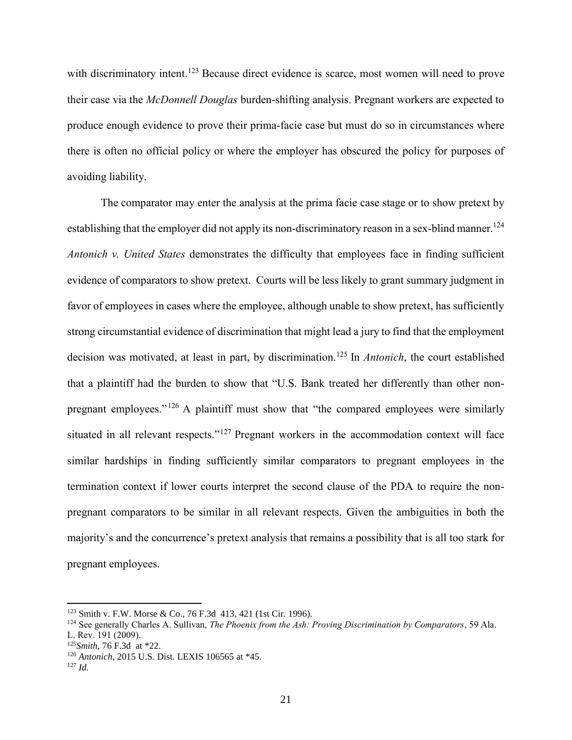with discriminatory intent.<sup>123</sup> Because direct evidence is scarce, most women will need to prove their case via the *McDonnell Douglas* burden-shifting analysis. Pregnant workers are expected to produce enough evidence to prove their prima-facie case but must do so in circumstances where there is often no official policy or where the employer has obscured the policy for purposes of avoiding liability.

The comparator may enter the analysis at the prima facie case stage or to show pretext by establishing that the employer did not apply its non-discriminatory reason in a sex-blind manner.<sup>124</sup> *Antonich v. United States* demonstrates the difficulty that employees face in finding sufficient evidence of comparators to show pretext. Courts will be less likely to grant summary judgment in favor of employees in cases where the employee, although unable to show pretext, has sufficiently strong circumstantial evidence of discrimination that might lead a jury to find that the employment decision was motivated, at least in part, by discrimination.<sup>125</sup> In *Antonich*, the court established that a plaintiff had the burden to show that "U.S. Bank treated her differently than other nonpregnant employees."<sup>126</sup> A plaintiff must show that "the compared employees were similarly situated in all relevant respects."<sup>127</sup> Pregnant workers in the accommodation context will face similar hardships in finding sufficiently similar comparators to pregnant employees in the termination context if lower courts interpret the second clause of the PDA to require the nonpregnant comparators to be similar in all relevant respects. Given the ambiguities in both the majority's and the concurrence's pretext analysis that remains a possibility that is all too stark for pregnant employees.

 $\overline{a}$ 

<sup>123</sup> Smith v. F.W. Morse & Co., 76 F.3d 413, 421 (1st Cir. 1996).

<sup>124</sup> See generally Charles A. Sullivan, *The Phoenix from the Ash: Proving Discrimination by Comparators*, 59 Ala. L. Rev. 191 (2009).

<sup>125</sup>*Smith*, 76 F.3d at \*22.

<sup>126</sup> *Antonich,* 2015 U.S. Dist. LEXIS 106565 at \*45.

<sup>127</sup> *Id.*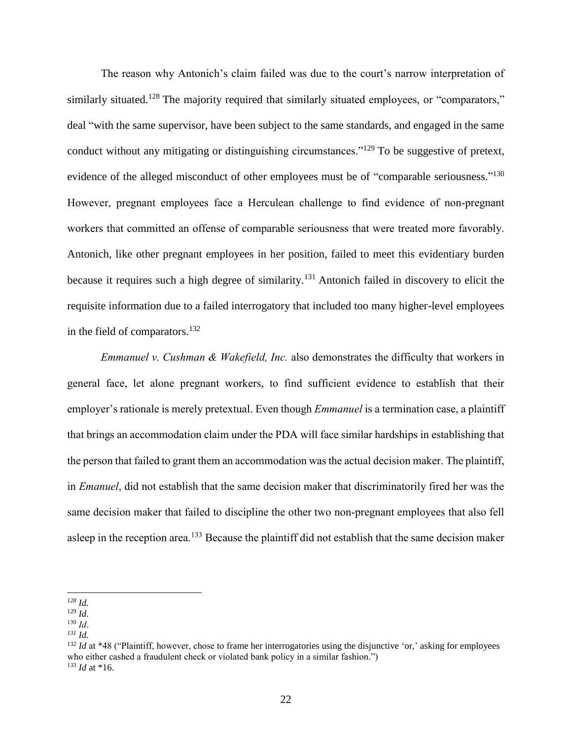The reason why Antonich's claim failed was due to the court's narrow interpretation of similarly situated.<sup>128</sup> The majority required that similarly situated employees, or "comparators," deal "with the same supervisor, have been subject to the same standards, and engaged in the same conduct without any mitigating or distinguishing circumstances."<sup>129</sup> To be suggestive of pretext, evidence of the alleged misconduct of other employees must be of "comparable seriousness."<sup>130</sup> However, pregnant employees face a Herculean challenge to find evidence of non-pregnant workers that committed an offense of comparable seriousness that were treated more favorably. Antonich, like other pregnant employees in her position, failed to meet this evidentiary burden because it requires such a high degree of similarity.<sup>131</sup> Antonich failed in discovery to elicit the requisite information due to a failed interrogatory that included too many higher-level employees in the field of comparators.<sup>132</sup>

*Emmanuel v. Cushman & Wakefield, Inc.* also demonstrates the difficulty that workers in general face, let alone pregnant workers, to find sufficient evidence to establish that their employer's rationale is merely pretextual. Even though *Emmanuel* is a termination case, a plaintiff that brings an accommodation claim under the PDA will face similar hardships in establishing that the person that failed to grant them an accommodation was the actual decision maker. The plaintiff, in *Emanuel*, did not establish that the same decision maker that discriminatorily fired her was the same decision maker that failed to discipline the other two non-pregnant employees that also fell asleep in the reception area.<sup>133</sup> Because the plaintiff did not establish that the same decision maker

 $\overline{a}$ *<sup>128</sup> Id.*

<sup>129</sup> *Id.*

<sup>130</sup> *Id*.

*<sup>131</sup> Id.*

<sup>&</sup>lt;sup>132</sup> *Id* at \*48 ("Plaintiff, however, chose to frame her interrogatories using the disjunctive 'or,' asking for employees who either cashed a fraudulent check or violated bank policy in a similar fashion.") <sup>133</sup> *Id* at \*16.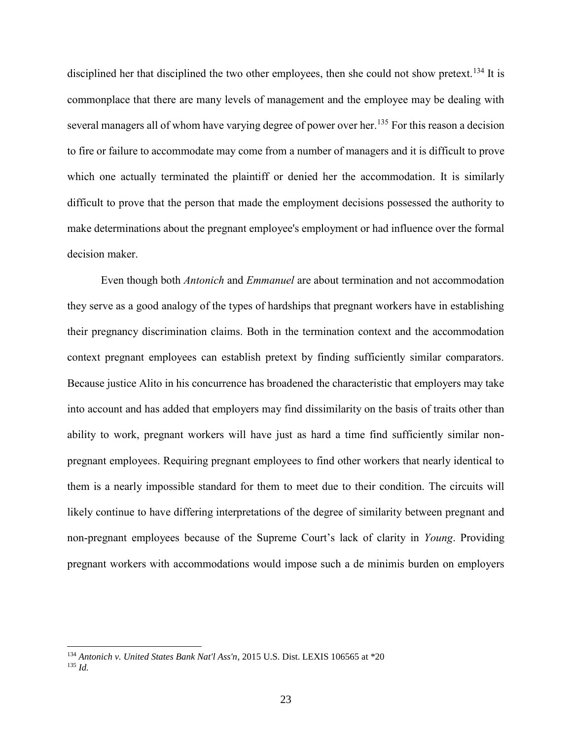disciplined her that disciplined the two other employees, then she could not show pretext.<sup>134</sup> It is commonplace that there are many levels of management and the employee may be dealing with several managers all of whom have varying degree of power over her.<sup>135</sup> For this reason a decision to fire or failure to accommodate may come from a number of managers and it is difficult to prove which one actually terminated the plaintiff or denied her the accommodation. It is similarly difficult to prove that the person that made the employment decisions possessed the authority to make determinations about the pregnant employee's employment or had influence over the formal decision maker.

Even though both *Antonich* and *Emmanuel* are about termination and not accommodation they serve as a good analogy of the types of hardships that pregnant workers have in establishing their pregnancy discrimination claims. Both in the termination context and the accommodation context pregnant employees can establish pretext by finding sufficiently similar comparators. Because justice Alito in his concurrence has broadened the characteristic that employers may take into account and has added that employers may find dissimilarity on the basis of traits other than ability to work, pregnant workers will have just as hard a time find sufficiently similar nonpregnant employees. Requiring pregnant employees to find other workers that nearly identical to them is a nearly impossible standard for them to meet due to their condition. The circuits will likely continue to have differing interpretations of the degree of similarity between pregnant and non-pregnant employees because of the Supreme Court's lack of clarity in *Young*. Providing pregnant workers with accommodations would impose such a de minimis burden on employers

l

<sup>134</sup> *Antonich v. United States Bank Nat'l Ass'n*, 2015 U.S. Dist. LEXIS 106565 at \*20 <sup>135</sup> *Id.*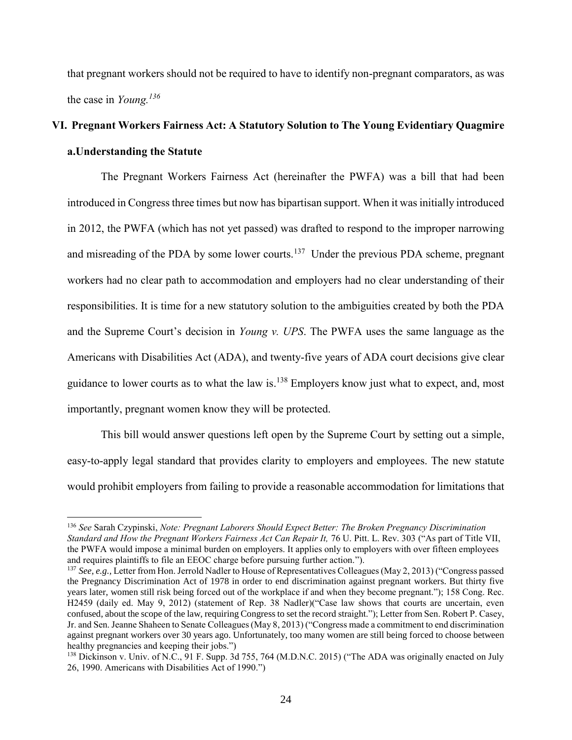that pregnant workers should not be required to have to identify non-pregnant comparators, as was the case in *Young. 136*

## **VI. Pregnant Workers Fairness Act: A Statutory Solution to The Young Evidentiary Quagmire a.Understanding the Statute**

The Pregnant Workers Fairness Act (hereinafter the PWFA) was a bill that had been introduced in Congress three times but now has bipartisan support. When it was initially introduced in 2012, the PWFA (which has not yet passed) was drafted to respond to the improper narrowing and misreading of the PDA by some lower courts.<sup>137</sup> Under the previous PDA scheme, pregnant workers had no clear path to accommodation and employers had no clear understanding of their responsibilities. It is time for a new statutory solution to the ambiguities created by both the PDA and the Supreme Court's decision in *Young v. UPS*. The PWFA uses the same language as the Americans with Disabilities Act (ADA), and twenty-five years of ADA court decisions give clear guidance to lower courts as to what the law is.<sup>138</sup> Employers know just what to expect, and, most importantly, pregnant women know they will be protected.

This bill would answer questions left open by the Supreme Court by setting out a simple, easy-to-apply legal standard that provides clarity to employers and employees. The new statute would prohibit employers from failing to provide a reasonable accommodation for limitations that

l

<sup>136</sup> *See* Sarah Czypinski, *Note: Pregnant Laborers Should Expect Better: The Broken Pregnancy Discrimination Standard and How the Pregnant Workers Fairness Act Can Repair It,* 76 U. Pitt. L. Rev. 303 ("As part of Title VII, the PWFA would impose a minimal burden on employers. It applies only to employers with over fifteen employees and requires plaintiffs to file an EEOC charge before pursuing further action.").

<sup>&</sup>lt;sup>137</sup> *See, e.g., Letter from Hon. Jerrold Nadler to House of Representatives Colleagues (May 2, 2013) ("Congress passed* the Pregnancy Discrimination Act of 1978 in order to end discrimination against pregnant workers. But thirty five years later, women still risk being forced out of the workplace if and when they become pregnant."); 158 Cong. Rec. H2459 (daily ed. May 9, 2012) (statement of Rep. 38 Nadler)("Case law shows that courts are uncertain, even confused, about the scope of the law, requiring Congress to set the record straight."); Letter from Sen. Robert P. Casey, Jr. and Sen. Jeanne Shaheen to Senate Colleagues (May 8, 2013) ("Congress made a commitment to end discrimination against pregnant workers over 30 years ago. Unfortunately, too many women are still being forced to choose between healthy pregnancies and keeping their jobs.")

<sup>&</sup>lt;sup>138</sup> Dickinson v. Univ. of N.C., 91 F. Supp. 3d 755, 764 (M.D.N.C. 2015) ("The ADA was originally enacted on July 26, 1990. Americans with Disabilities Act of 1990.")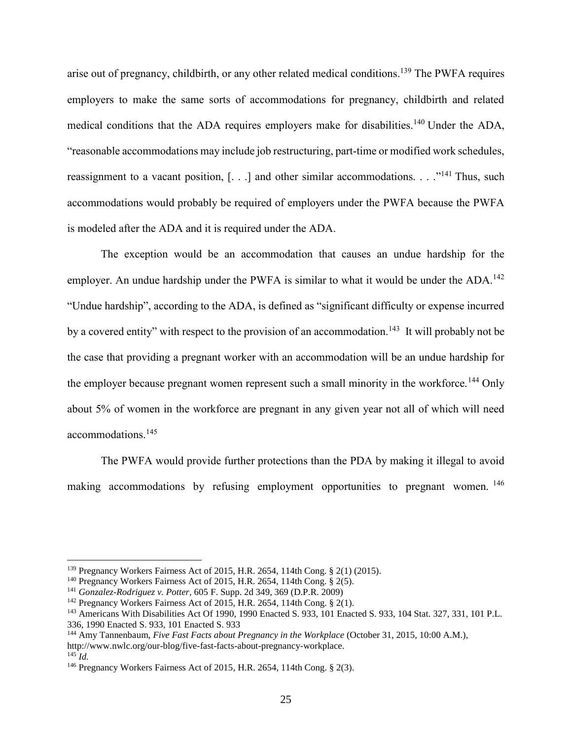arise out of pregnancy, childbirth, or any other related medical conditions.<sup>139</sup> The PWFA requires employers to make the same sorts of accommodations for pregnancy, childbirth and related medical conditions that the ADA requires employers make for disabilities.<sup>140</sup> Under the ADA, "reasonable accommodations may include job restructuring, part-time or modified work schedules, reassignment to a vacant position, [. . .] and other similar accommodations. . . ."<sup>141</sup> Thus, such accommodations would probably be required of employers under the PWFA because the PWFA is modeled after the ADA and it is required under the ADA.

The exception would be an accommodation that causes an undue hardship for the employer. An undue hardship under the PWFA is similar to what it would be under the ADA.<sup>142</sup> "Undue hardship", according to the ADA, is defined as "significant difficulty or expense incurred by a covered entity" with respect to the provision of an accommodation.<sup>143</sup> It will probably not be the case that providing a pregnant worker with an accommodation will be an undue hardship for the employer because pregnant women represent such a small minority in the workforce.<sup>144</sup> Only about 5% of women in the workforce are pregnant in any given year not all of which will need accommodations.<sup>145</sup>

The PWFA would provide further protections than the PDA by making it illegal to avoid making accommodations by refusing employment opportunities to pregnant women.<sup>146</sup>

 $\overline{a}$ 

<sup>139</sup> Pregnancy Workers Fairness Act of 2015, H.R. 2654, 114th Cong. § 2(1) (2015).

<sup>&</sup>lt;sup>140</sup> Pregnancy Workers Fairness Act of 2015, H.R. 2654, 114th Cong. § 2(5).

<sup>141</sup> *Gonzalez-Rodriguez v. Potter*, 605 F. Supp. 2d 349, 369 (D.P.R. 2009)

<sup>142</sup> Pregnancy Workers Fairness Act of 2015, H.R. 2654, 114th Cong. § 2(1).

<sup>143</sup> Americans With Disabilities Act Of 1990, 1990 Enacted S. 933, 101 Enacted S. 933, 104 Stat. 327, 331, 101 P.L.

<sup>336, 1990</sup> Enacted S. 933, 101 Enacted S. 933

<sup>144</sup> Amy Tannenbaum, *Five Fast Facts about Pregnancy in the Workplace* (October 31, 2015, 10:00 A.M.), http://www.nwlc.org/our-blog/five-fast-facts-about-pregnancy-workplace.  $145$  *Id.* 

<sup>&</sup>lt;sup>146</sup> Pregnancy Workers Fairness Act of 2015, H.R. 2654, 114th Cong. § 2(3).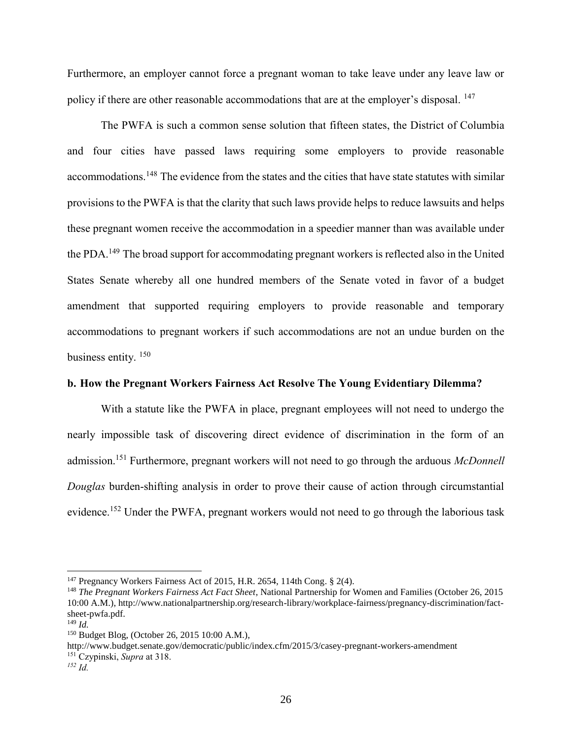Furthermore, an employer cannot force a pregnant woman to take leave under any leave law or policy if there are other reasonable accommodations that are at the employer's disposal. <sup>147</sup>

The PWFA is such a common sense solution that fifteen states, the District of Columbia and four cities have passed laws requiring some employers to provide reasonable accommodations.<sup>148</sup> The evidence from the states and the cities that have state statutes with similar provisions to the PWFA is that the clarity that such laws provide helps to reduce lawsuits and helps these pregnant women receive the accommodation in a speedier manner than was available under the PDA.<sup>149</sup> The broad support for accommodating pregnant workers is reflected also in the United States Senate whereby all one hundred members of the Senate voted in favor of a budget amendment that supported requiring employers to provide reasonable and temporary accommodations to pregnant workers if such accommodations are not an undue burden on the business entity. <sup>150</sup>

#### **b. How the Pregnant Workers Fairness Act Resolve The Young Evidentiary Dilemma?**

With a statute like the PWFA in place, pregnant employees will not need to undergo the nearly impossible task of discovering direct evidence of discrimination in the form of an admission.<sup>151</sup> Furthermore, pregnant workers will not need to go through the arduous *McDonnell Douglas* burden-shifting analysis in order to prove their cause of action through circumstantial evidence.<sup>152</sup> Under the PWFA, pregnant workers would not need to go through the laborious task

 $\overline{a}$ 

http://www.budget.senate.gov/democratic/public/index.cfm/2015/3/casey-pregnant-workers-amendment

<sup>&</sup>lt;sup>147</sup> Pregnancy Workers Fairness Act of 2015, H.R. 2654, 114th Cong. § 2(4).

<sup>148</sup> *The Pregnant Workers Fairness Act Fact Sheet*, National Partnership for Women and Families (October 26, 2015 10:00 A.M.), http://www.nationalpartnership.org/research-library/workplace-fairness/pregnancy-discrimination/factsheet-pwfa.pdf.

 $^{149}$  *Id*.

<sup>150</sup> Budget Blog, (October 26, 2015 10:00 A.M.),

<sup>151</sup> Czypinski, *Supra* at 318.

*<sup>152</sup> Id.*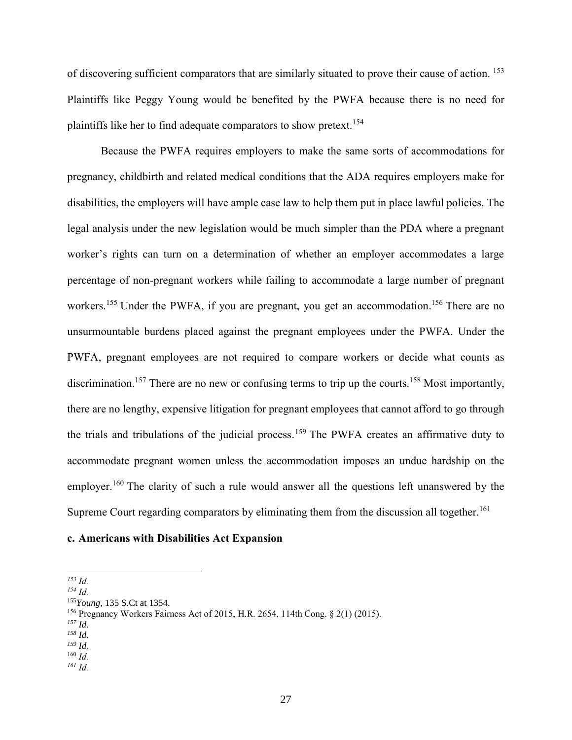of discovering sufficient comparators that are similarly situated to prove their cause of action. <sup>153</sup> Plaintiffs like Peggy Young would be benefited by the PWFA because there is no need for plaintiffs like her to find adequate comparators to show pretext.<sup>154</sup>

Because the PWFA requires employers to make the same sorts of accommodations for pregnancy, childbirth and related medical conditions that the ADA requires employers make for disabilities, the employers will have ample case law to help them put in place lawful policies. The legal analysis under the new legislation would be much simpler than the PDA where a pregnant worker's rights can turn on a determination of whether an employer accommodates a large percentage of non-pregnant workers while failing to accommodate a large number of pregnant workers.<sup>155</sup> Under the PWFA, if you are pregnant, you get an accommodation.<sup>156</sup> There are no unsurmountable burdens placed against the pregnant employees under the PWFA. Under the PWFA, pregnant employees are not required to compare workers or decide what counts as discrimination.<sup>157</sup> There are no new or confusing terms to trip up the courts.<sup>158</sup> Most importantly, there are no lengthy, expensive litigation for pregnant employees that cannot afford to go through the trials and tribulations of the judicial process.<sup>159</sup> The PWFA creates an affirmative duty to accommodate pregnant women unless the accommodation imposes an undue hardship on the employer.<sup>160</sup> The clarity of such a rule would answer all the questions left unanswered by the Supreme Court regarding comparators by eliminating them from the discussion all together.<sup>161</sup>

#### **c. Americans with Disabilities Act Expansion**

 $\overline{a}$ 

*<sup>157</sup> Id.*

*<sup>161</sup> Id.*

*<sup>153</sup> Id.*

*<sup>154</sup> Id.*

<sup>155</sup>*Young,* 135 S.Ct at 1354.

<sup>156</sup> Pregnancy Workers Fairness Act of 2015, H.R. 2654, 114th Cong. § 2(1) (2015).

*<sup>158</sup> Id.*

*<sup>159</sup> Id.*

<sup>160</sup> *Id.*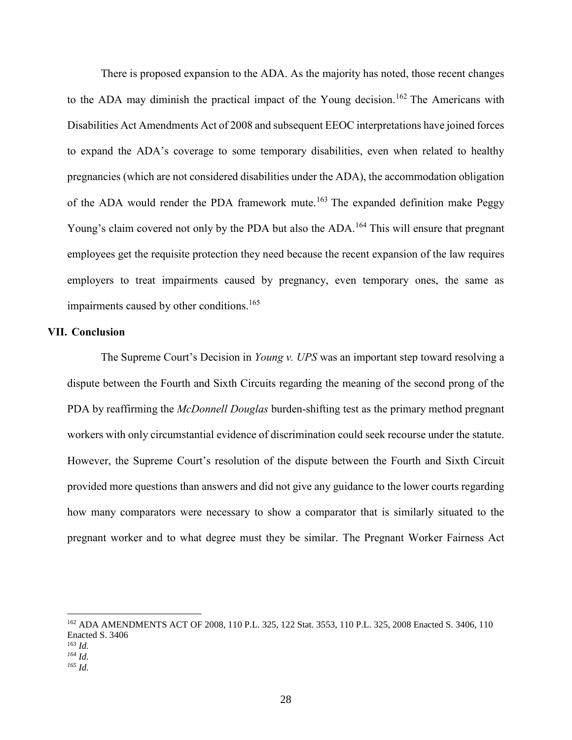There is proposed expansion to the ADA. As the majority has noted, those recent changes to the ADA may diminish the practical impact of the Young decision.<sup>162</sup> The Americans with Disabilities Act Amendments Act of 2008 and subsequent EEOC interpretations have joined forces to expand the ADA's coverage to some temporary disabilities, even when related to healthy pregnancies (which are not considered disabilities under the ADA), the accommodation obligation of the ADA would render the PDA framework mute.<sup>163</sup> The expanded definition make Peggy Young's claim covered not only by the PDA but also the ADA.<sup>164</sup> This will ensure that pregnant employees get the requisite protection they need because the recent expansion of the law requires employers to treat impairments caused by pregnancy, even temporary ones, the same as impairments caused by other conditions.<sup>165</sup>

#### **VII. Conclusion**

 $\overline{a}$ 

The Supreme Court's Decision in *Young v. UPS* was an important step toward resolving a dispute between the Fourth and Sixth Circuits regarding the meaning of the second prong of the PDA by reaffirming the *McDonnell Douglas* burden-shifting test as the primary method pregnant workers with only circumstantial evidence of discrimination could seek recourse under the statute. However, the Supreme Court's resolution of the dispute between the Fourth and Sixth Circuit provided more questions than answers and did not give any guidance to the lower courts regarding how many comparators were necessary to show a comparator that is similarly situated to the pregnant worker and to what degree must they be similar. The Pregnant Worker Fairness Act

<sup>162</sup> ADA AMENDMENTS ACT OF 2008, 110 P.L. 325, 122 Stat. 3553, 110 P.L. 325, 2008 Enacted S. 3406, 110 Enacted S. 3406 <sup>163</sup> *Id. <sup>164</sup> Id. <sup>165</sup> Id.*